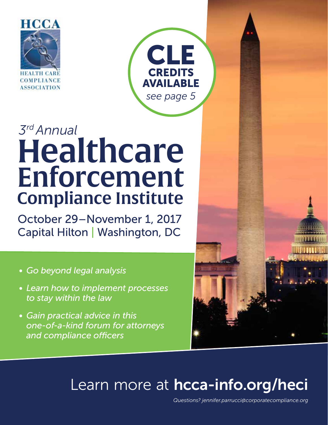



# *3rd Annual* Healthcare Enforcement Compliance Institute

October 29–November 1, 2017 Capital Hilton | Washington, DC

- *• Go beyond legal analysis*
- *• Learn how to implement processes to stay within the law*
- *• Gain practical advice in this one-of-a-kind forum for attorneys and compliance officers*



# Learn more at [hcca-info.org/heci](http://www.hcca-info.org/heci)

*Questions? jennifer.parrucci@corporatecompliance.org*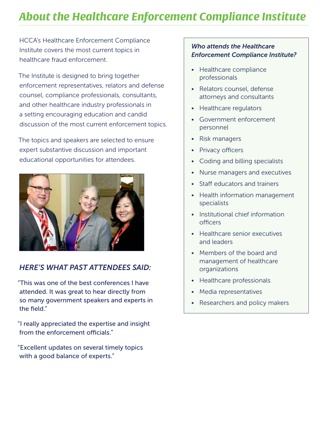## *About the Healthcare Enforcement Compliance Institute*

HCCA's Healthcare Enforcement Compliance Institute covers the most current topics in healthcare fraud enforcement.

The Institute is designed to bring together enforcement representatives, relators and defense counsel, compliance professionals, consultants, and other healthcare industry professionals in a setting encouraging education and candid discussion of the most current enforcement topics.

The topics and speakers are selected to ensure expert substantive discussion and important educational opportunities for attendees.



#### *HERE'S WHAT PAST ATTENDEES SAID:*

"This was one of the best conferences I have attended. It was great to hear directly from so many government speakers and experts in the field."

"I really appreciated the expertise and insight from the enforcement officials."

"Excellent updates on several timely topics with a good balance of experts."

#### *Who attends the Healthcare Enforcement Compliance Institute?*

- Healthcare compliance professionals
- Relators counsel, defense attorneys and consultants
- Healthcare regulators
- Government enforcement personnel
- Risk managers
- Privacy officers
- Coding and billing specialists
- Nurse managers and executives
- Staff educators and trainers
- Health information management specialists
- Institutional chief information officers
- Healthcare senior executives and leaders
- Members of the board and management of healthcare organizations
- Healthcare professionals
- Media representatives
- Researchers and policy makers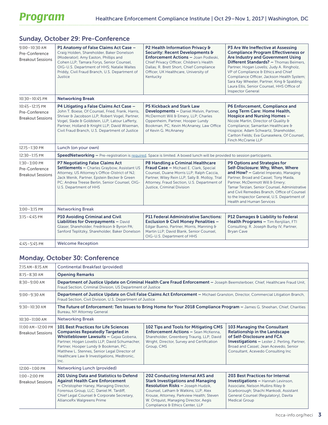| $9:00 - 10:30$ AM<br>Pre-Conference<br><b>Breakout Sessions</b>  | P1 Anatomy of False Claims Act Case -<br>Craig Holden, Shareholder, Baker Donelson<br>(Moderator); Amy Easton, Phillips and<br>Cohen LLP; Tamara Forys, Senior Counsel,<br>OIG-U.S. Department of HHS; Natalie Waites<br>Priddy, Civil Fraud Branch, U.S. Department of<br>Justice                  | P2 Health Information Privacy &<br>Security: Recent Developments &<br>Enforcement Actions - Joan Podleski,<br>Chief Privacy Officer, Children's Health<br>Dallas; R. Brett Short, Chief Compliance<br>Officer, UK Healthcare, University of<br>Kentucky                                                                                                                                                                                                                                                                             | P3 Are We Ineffective at Assessing<br><b>Compliance Program Effectiveness or</b><br>Are Industry and Government Using<br>Different Standards? - Thomas Beimers,<br>Partner, Hogan Lovells; Judy A. Ringholz,<br>VP of Compliance & Ethics and Chief<br>Compliance Officer, Jackson Health System;<br>Sara Kay Wheeler, Partner, King & Spalding;<br>Laura Ellis, Senior Counsel, HHS Office of<br><b>Inspector General</b> |  |  |
|------------------------------------------------------------------|-----------------------------------------------------------------------------------------------------------------------------------------------------------------------------------------------------------------------------------------------------------------------------------------------------|-------------------------------------------------------------------------------------------------------------------------------------------------------------------------------------------------------------------------------------------------------------------------------------------------------------------------------------------------------------------------------------------------------------------------------------------------------------------------------------------------------------------------------------|----------------------------------------------------------------------------------------------------------------------------------------------------------------------------------------------------------------------------------------------------------------------------------------------------------------------------------------------------------------------------------------------------------------------------|--|--|
| $10:30 - 10:45$ PM                                               | <b>Networking Break</b>                                                                                                                                                                                                                                                                             |                                                                                                                                                                                                                                                                                                                                                                                                                                                                                                                                     |                                                                                                                                                                                                                                                                                                                                                                                                                            |  |  |
| $10:45 - 12:15$ PM<br>Pre-Conference<br><b>Breakout Sessions</b> | P4 Litigating a False Claims Act Case -<br>John T. Boese, Of Counsel, Fried, Frank, Harris,<br>Shriver & Jacobson LLP; Robert Vogel, Partner,<br>Vogel, Slade & Goldstein, LLP; Latour Lafferty,<br>Partner, Holland & Knight LLP; David Wiseman,<br>Civil Fraud Branch, U.S. Department of Justice | <b>P5 Kickback and Stark Law</b><br>P6 Enforcement, Compliance and<br>Long Term Care: Home Health,<br><b>Developments - Daniel Melvin, Partner,</b><br>McDermott Will & Emery, LLP; Charles<br>Hospice and Nursing Homes -<br>Nicole Martin, Director of Quality &<br>Oppenheim, Partner, Hooper Lundy<br>Bookman, PC; Kevin McAnaney, Law Office<br>Compliance; Samaritan Healthcare &<br>Hospice; Adam Schwartz, Shareholder,<br>of Kevin G. McAnaney<br>Carlton Fields; Eva Gunasekera, Of Counsel,<br><b>Finch McCranie LLP</b> |                                                                                                                                                                                                                                                                                                                                                                                                                            |  |  |
| 12:15-1:30 PM                                                    | Lunch (on your own)                                                                                                                                                                                                                                                                                 |                                                                                                                                                                                                                                                                                                                                                                                                                                                                                                                                     |                                                                                                                                                                                                                                                                                                                                                                                                                            |  |  |
| $12:30 - 1:15$ PM                                                | <b>SpeedNetworking -</b> Pre-registration is required. Space is limited. A boxed lunch will be provided to session participants.                                                                                                                                                                    |                                                                                                                                                                                                                                                                                                                                                                                                                                                                                                                                     |                                                                                                                                                                                                                                                                                                                                                                                                                            |  |  |
| $1:30-3:00$ PM<br>Pre-Conference<br><b>Breakout Sessions</b>     | <b>P7 Negotiating False Claims Act</b><br>Settlements - Charles Graybow, Assistant US<br>Attorney, US Attorney's Office-District of NJ;<br>Jack Wenik, Partner, Epstein Becker & Green<br>PC; Andrea Treese Berlin, Senior Counsel, OIG-<br>U.S. Department of HHS                                  | P8 Handling a Criminal Healthcare<br>Fraud Case - Michael E. Clark, Special<br>Counsel, Duane Morris LLP; Ralph Caccia,<br>Partner, Wiley Rein LLP; Sally B. Molloy, Trial<br>Attorney, Fraud Section, U.S. Department of<br>Justice, Criminal Division                                                                                                                                                                                                                                                                             | P9 Options and Strategies for<br>Self-Disclosure: Why, When, Where<br>and How? - Gabriel Imperato, Managing<br>Partner, Broad and Cassel; Tony Maida,<br>Partner, McDermott Will & Emery;<br>Tamar Terzian, Senior Counsel, Administrative<br>and Civil Remedies Branch, Office of Counsel<br>to the Inspector General, U.S. Department of<br><b>Health and Human Services</b>                                             |  |  |
| $3:00 - 3:15$ PM                                                 | <b>Networking Break</b>                                                                                                                                                                                                                                                                             |                                                                                                                                                                                                                                                                                                                                                                                                                                                                                                                                     |                                                                                                                                                                                                                                                                                                                                                                                                                            |  |  |
| $3:15 - 4:45$ PM                                                 | <b>P10 Avoiding Criminal and Civil</b><br>Liabilities for Overpayments - David<br>Glaser, Shareholder, Fredrikson & Byron PA;<br>Sanford Teplitzky, Shareholder, Baker Donelson                                                                                                                     | <b>P11 Federal Administrative Sanctions:</b><br>Exclusion & Civil Money Penalities -<br>Edgar Bueno, Partner, Morris, Manning &<br>Martin LLP; David Blank, Senior Counsel,<br>OIG-U.S. Department of HHS                                                                                                                                                                                                                                                                                                                           | P12 Damages & Liability to Federal<br>Health Programs - Tim Renjilian, FTI<br>Consulting; R. Joseph Burby IV, Partner,<br><b>Bryan Cave</b>                                                                                                                                                                                                                                                                                |  |  |
| $4:45 - 5:45$ PM                                                 | <b>Welcome Reception</b>                                                                                                                                                                                                                                                                            |                                                                                                                                                                                                                                                                                                                                                                                                                                                                                                                                     |                                                                                                                                                                                                                                                                                                                                                                                                                            |  |  |

#### Sunday, October 29: Pre-Conference

#### Monday, October 30: Conference

| $7:15$ AM-8:15 AM                             | Continental Breakfast (provided)                                                                                                                                                                                                                                                                                                 |                                                                                                                                                                                                                                                                                          |                                                                                                                                                                                                                                           |  |  |
|-----------------------------------------------|----------------------------------------------------------------------------------------------------------------------------------------------------------------------------------------------------------------------------------------------------------------------------------------------------------------------------------|------------------------------------------------------------------------------------------------------------------------------------------------------------------------------------------------------------------------------------------------------------------------------------------|-------------------------------------------------------------------------------------------------------------------------------------------------------------------------------------------------------------------------------------------|--|--|
| $8:15 - 8:30$ AM                              | <b>Opening Remarks</b>                                                                                                                                                                                                                                                                                                           |                                                                                                                                                                                                                                                                                          |                                                                                                                                                                                                                                           |  |  |
| $8:30 - 9:00$ AM                              | Department of Justice Update on Criminal Health Care Fraud Enforcement - Joseph Beemsterboer, Chief, Healthcare Fraud Unit,<br>Fraud Section, Criminal Division, US Department of Justice                                                                                                                                        |                                                                                                                                                                                                                                                                                          |                                                                                                                                                                                                                                           |  |  |
| $9:00 - 9:30$ AM                              | Department of Justice Update on Civil False Claims Act Enforcement - Michael Granston, Director, Commercial Litigation Branch,<br>Fraud Section, Civil Division, U.S. Department of Justice                                                                                                                                      |                                                                                                                                                                                                                                                                                          |                                                                                                                                                                                                                                           |  |  |
| $9:30 - 10:30$ AM                             | The Future of Enforcement: Ten Issues to Bring Home for Your 2018 Compliance Program - James G. Sheehan, Chief, Charities<br>Bureau, NY Attorney General                                                                                                                                                                         |                                                                                                                                                                                                                                                                                          |                                                                                                                                                                                                                                           |  |  |
| 10:30-11:00 AM                                | <b>Networking Break</b>                                                                                                                                                                                                                                                                                                          |                                                                                                                                                                                                                                                                                          |                                                                                                                                                                                                                                           |  |  |
| 11:00 AM-12:00 PM<br><b>Breakout Sessions</b> | <b>101 Best Practices for Life Sciences</b><br><b>Companies Repeatedly Targeted in</b><br>Whistleblower Lawsuits - Gejaa Gobena,<br>Partner, Hogan Lovells LLP; David Schumacher,<br>Partner, Hooper Lundy & Bookman, PC;<br>Matthew L. Stennes, Senior Legal Director of<br>Healthcare Law & Investigations, Medtronic,<br>Inc. | 102 Tips and Tools for Mitigating CMS<br><b>Enforcement Actions - Sean McKenna.</b><br>Shareholder, Greenberg Traurig, LLP; David<br>Wright, Director, Survey and Certification<br>Group, CMS                                                                                            | 103 Managing the Consultant<br><b>Relationship in the Landscape</b><br>of Self-Disclosure and FCA<br><b>Investigations - Lester J. Perling, Partner,</b><br>Broad and Cassel; Jean Acevedo, Senior<br>Consultant, Acevedo Consulting Inc. |  |  |
| $12:00 - 1:00$ PM                             | Networking Lunch (provided)                                                                                                                                                                                                                                                                                                      |                                                                                                                                                                                                                                                                                          |                                                                                                                                                                                                                                           |  |  |
| $1:00 - 2:00$ PM<br><b>Breakout Sessions</b>  | 201 Using Data and Statistics to Defend<br><b>Against Health Care Enforcement</b><br>- Christopher Haney, Managing Director,<br>Forensus Group, LLC; Daniel M. Tardiff,<br>Chief Legal Counsel & Corporate Secretary,<br>AllianceRx Walgreens Prime                                                                              | 202 Conducting Internal AKS and<br><b>Stark Investigations and Managing</b><br><b>Resolution Risks - Joseph Hudzik,</b><br>Counsel, Latham & Watkins, LLP; Alex<br>Krouse, Attorney, Parkview Health; Steven<br>W. Ortguist, Managing Director, Aegis<br>Compliance & Ethics Center, LLP | <b>203 Best Practices for Internal</b><br><b>Investigations - Hannah Levinson,</b><br>Associate, Nelson Mullins Riley &<br>Scarborough; Shachi Mankodi, Assistant<br>General Counsel (Regulatory), Davita<br><b>Medical Group</b>         |  |  |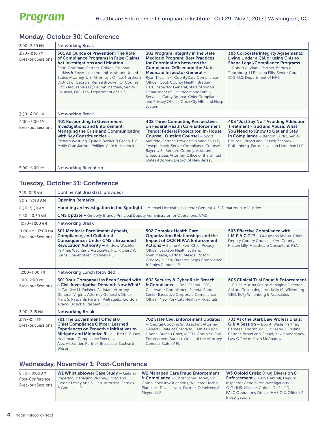#### Monday, October 30: Conference

| $2:00 - 2:30$ PM                             | <b>Networking Break</b>                                                                                                                                                                                                                                                                                                                                                                                                                                                                                                                                                                                                                                                                                                                                                                                                                                                                                    |                                                                                                                                                                                                                                                                                                                                                                                                      |                                                                                                                                                                                                                                                |  |
|----------------------------------------------|------------------------------------------------------------------------------------------------------------------------------------------------------------------------------------------------------------------------------------------------------------------------------------------------------------------------------------------------------------------------------------------------------------------------------------------------------------------------------------------------------------------------------------------------------------------------------------------------------------------------------------------------------------------------------------------------------------------------------------------------------------------------------------------------------------------------------------------------------------------------------------------------------------|------------------------------------------------------------------------------------------------------------------------------------------------------------------------------------------------------------------------------------------------------------------------------------------------------------------------------------------------------------------------------------------------------|------------------------------------------------------------------------------------------------------------------------------------------------------------------------------------------------------------------------------------------------|--|
| $2:30 - 3:30$ PM<br><b>Breakout Sessions</b> | <b>301 An Ounce of Prevention: The Role</b><br>302 Program Integrity in the State<br><b>Medicaid Program: Best Practices</b><br>of Compliance Programs in False Claims<br>Act Investigations and Litigation -<br>for Coordination between the<br><b>Compliance Officer and the State</b><br>Scott Grubman, Partner, Chilivis, Cochran,<br><b>Medicaid Inspector General -</b><br>Larkins & Bever; Lena Amanti, Assistant United<br>Ryan T. Lipinski, CountyCare Compliance<br>States Attorney, U.S. Attorney's Office, Northern<br>Officer, Cook County Health; Bradley<br>District of Georgia; Renee Brooker, Of Counsel,<br>Finch McCranie LLP; Lauren Marziani, Senior<br>Hart, Inspector General, State of Illinois<br>Counsel, OIG-U.S. Department of HHS<br>Department of Healthcare and Family<br>Services; Cathy Bodnar, Chief Compliance<br>and Privacy Officer, Cook Cty Hlth and Hosp<br>System |                                                                                                                                                                                                                                                                                                                                                                                                      | 303 Corporate Integrity Agreements:<br>Living Under a CIA or using CIAs to<br><b>Shape Legal/Compliance Programs</b><br>- Robert A. Wade, Partner, Barnes &<br>Thornburg, LLP; Laura Ellis, Senior Counsel,<br>OIG-U.S. Department of HHS      |  |
| $3:30 - 4:00$ PM                             | <b>Networking Break</b>                                                                                                                                                                                                                                                                                                                                                                                                                                                                                                                                                                                                                                                                                                                                                                                                                                                                                    |                                                                                                                                                                                                                                                                                                                                                                                                      |                                                                                                                                                                                                                                                |  |
| $4:00 - 5:00$ PM<br><b>Breakout Sessions</b> | 401 Responding to Government<br><b>Investigations and Enforcement:</b><br><b>Managing the Crisis and Communicating</b><br>with Key Constituencies -<br>Richard Westling, Epstein Becker & Green, P.C.;<br>Molly Cate Jarrard, Phillips, Cate & Hancock                                                                                                                                                                                                                                                                                                                                                                                                                                                                                                                                                                                                                                                     | <b>402 Three Competing Perspectives</b><br>on Federal Health Care Enforcement<br><b>Trends: Federal Prosecutor, In-House</b><br><b>Counsel, Outside Counsel - Scott</b><br>McBride, Partner, Lowenstein Sandler, LLP;<br>Joseph Mack, Senior Compliance Counsel,<br>Bayer U.S.; Bernard Cooney, Assistant<br>United States Attorney, Office of the United<br>States Attorney, District of New Jersey | 403 "Just Say No!" Avoiding Addiction<br><b>Treatment Fraud and Abuse: What</b><br>You Need to Know to Get and Stay<br>in Compliance - Benton Curtis, Senior<br>Counsel, Broad and Cassel; Zachary<br>Rothenberg, Partner, Nelson Hardiman LLP |  |
| $5:00 - 6:00$ PM                             | <b>Networking Reception</b>                                                                                                                                                                                                                                                                                                                                                                                                                                                                                                                                                                                                                                                                                                                                                                                                                                                                                |                                                                                                                                                                                                                                                                                                                                                                                                      |                                                                                                                                                                                                                                                |  |

#### Tuesday, October 31: Conference

| $7:15 - 8:15$ AM                              | Continental Breakfast (provided)                                                                                                                                                                                                                                                                                                                                                                                                                                                                                                                                                                                                                                                                                                              |                                                                                                                                                                                                                                                     |                                                                                                                                                                                                           |  |  |  |
|-----------------------------------------------|-----------------------------------------------------------------------------------------------------------------------------------------------------------------------------------------------------------------------------------------------------------------------------------------------------------------------------------------------------------------------------------------------------------------------------------------------------------------------------------------------------------------------------------------------------------------------------------------------------------------------------------------------------------------------------------------------------------------------------------------------|-----------------------------------------------------------------------------------------------------------------------------------------------------------------------------------------------------------------------------------------------------|-----------------------------------------------------------------------------------------------------------------------------------------------------------------------------------------------------------|--|--|--|
| $8:15 - 8:30$ AM                              | <b>Opening Remarks</b>                                                                                                                                                                                                                                                                                                                                                                                                                                                                                                                                                                                                                                                                                                                        |                                                                                                                                                                                                                                                     |                                                                                                                                                                                                           |  |  |  |
| $8:30 - 9:30$ AM                              | Handling an Investigation in the Spotlight - Michael Horowitz, Inspector General, U.S. Department of Justice                                                                                                                                                                                                                                                                                                                                                                                                                                                                                                                                                                                                                                  |                                                                                                                                                                                                                                                     |                                                                                                                                                                                                           |  |  |  |
| $9:30 - 10:30$ AM                             | <b>CMS Update</b> - Kimberly Brandt, Principal Deputy Administrator for Operations, CMS                                                                                                                                                                                                                                                                                                                                                                                                                                                                                                                                                                                                                                                       |                                                                                                                                                                                                                                                     |                                                                                                                                                                                                           |  |  |  |
| $10:30 - 11:00$ AM                            | <b>Networking Break</b>                                                                                                                                                                                                                                                                                                                                                                                                                                                                                                                                                                                                                                                                                                                       |                                                                                                                                                                                                                                                     |                                                                                                                                                                                                           |  |  |  |
| 11:00 AM-12:00 PM<br><b>Breakout Sessions</b> | <b>502 Complex Health Care</b><br>501 Medicare Enrollment: Appeals,<br>503 Effective Compliance with<br><b>Compliance, and Collateral</b><br><b>Organization Relationships and the</b><br>I.M.P.A.C.T.™ – Gurujodha Khalsa, Chief<br><b>Consequences Under CMS's Expanded</b><br><b>Impact of OCR HIPAA Enforcement</b><br>Deputy County Counsel, Kern County;<br>Revocation Authority - Andrew Wachler,<br><b>Actions - Blaine A. Kerr, Chief Privacy</b><br>Kristen Lilly, Healthcare Consultant, PYA<br>Partner, Wachler & Associates, PC; Richard R.<br>Officer, Jackson Health System;<br>Burris, Shareholder, Polsinelli PC<br>Ryan Meade, Partner, Meade, Roach;<br>Gregory V. Kerr, Director, Aegis Compliance<br>& Ethics Center LLP |                                                                                                                                                                                                                                                     |                                                                                                                                                                                                           |  |  |  |
| 12:00-1:00 PM                                 | Networking Lunch (provided)                                                                                                                                                                                                                                                                                                                                                                                                                                                                                                                                                                                                                                                                                                                   |                                                                                                                                                                                                                                                     |                                                                                                                                                                                                           |  |  |  |
| $1:00 - 2:00$ PM<br><b>Breakout Sessions</b>  | 601 Your Company Has Been Served with<br>a Civil Investigative Demand: Now What?<br>- Candice M. Deisher, Assistant Attorney<br>General, Virginia Attorney General's Office;<br>Marc S. Raspanti, Partner, Pietragallo, Gordon,<br>Alfano, Bosick & Raspanti, LLP                                                                                                                                                                                                                                                                                                                                                                                                                                                                             | 602 Security & Cyber Risk: Breach<br><b>&amp; Compliance - Bob Chaput, CEO,</b><br>Clearwater Compliance; Sheetal Sood,<br>Senior Executive Corporate Compliance<br>Officer, New York City Health + Hospitals                                       | 603 Clinical Trial Fraud & Enforcement<br>- F. Lisa Murtha, Senior Managing Director,<br>Ankura Consulting, Inc.; Kelly M. Willenberg,<br>CEO, Kelly Willenberg & Associates                              |  |  |  |
| $2:00 - 2:15$ PM                              | <b>Networking Break</b>                                                                                                                                                                                                                                                                                                                                                                                                                                                                                                                                                                                                                                                                                                                       |                                                                                                                                                                                                                                                     |                                                                                                                                                                                                           |  |  |  |
| $2:15 - 3:15$ PM<br><b>Breakout Sessions</b>  | 701 The Government Official &<br><b>Chief Compliance Officer: Learned</b><br><b>Experiences on Proactive Inititatives to</b><br>Mitigate and Minimize Risk - Bret S. Bissey,<br>Healthcare Compliance Executive;<br>Alec Alexander, Partner, Breazeale, Sachse &<br>Wilson                                                                                                                                                                                                                                                                                                                                                                                                                                                                    | <b>702 State Civil Enforcement Updates</b><br>- George Codding Sr., Assistant Attorney<br>General, State of Colorado; Kathleen Von<br>Hoene, Bureau Chief, MFCU-Complex Civil<br>Enforcement Bureau, Office of the Attorney<br>General, State of FL | 703 Ask the Stark Law Professionals:<br>Q & A Session - Bob A. Wade, Partner,<br>Barnes & Thornburg LLP; Lester J. Perling,<br>Partner, Broad and Cassel; Kevin McAnaney,<br>Law Office of Kevin McAnaney |  |  |  |

#### Wednesday, November 1: Post-Conference

| 8:30-10:00 AM            | W1 Whistleblower Case Study - Gabriel         | <b>W2 Managed Care Fraud Enforcement</b>       | W3 Opioid Crisis: Drug Diversion &                            |
|--------------------------|-----------------------------------------------|------------------------------------------------|---------------------------------------------------------------|
| Post-Conference          | Imperato, Managing Partner, Broad and         | $\mathbf b$ Compliance – Christopher Horan, VP | <b>Enforcement - Gary Cantrell, Deputy</b>                    |
| <b>Breakout Sessions</b> | Cassel; Lesley Ann Skillen, Attorney, Getnick | Compliance Investigations, Wellcare Health     | Inspector General for Investigations,                         |
|                          | & Getnick LLP                                 | Plan, Inc.; David Leviss, Partner, O'Melveny & | OIG HHS; Michael Cohen, DHSc, JD,                             |
|                          |                                               | Meyers LLP                                     | PA-C, Operations Officer, HHS OIG Office of<br>Investigations |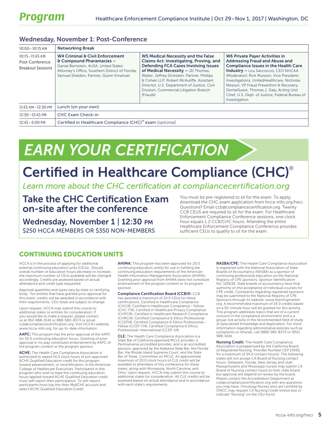#### Wednesday, November 1: Post-Conference

| $10:00 - 10:15$ AM                                                | <b>Networking Break</b>                                                                                                                                                                                       |                                                                                                                                                                                                                                                                                                                                                                    |                                                                                                                                                                                                                                                                                                                                                                                                                                   |  |  |
|-------------------------------------------------------------------|---------------------------------------------------------------------------------------------------------------------------------------------------------------------------------------------------------------|--------------------------------------------------------------------------------------------------------------------------------------------------------------------------------------------------------------------------------------------------------------------------------------------------------------------------------------------------------------------|-----------------------------------------------------------------------------------------------------------------------------------------------------------------------------------------------------------------------------------------------------------------------------------------------------------------------------------------------------------------------------------------------------------------------------------|--|--|
| $10:15 - 11:45$ AM<br>Post-Conference<br><b>Breakout Sessions</b> | <b>W4 Criminal &amp; Civil Enforcement</b><br>& Compound Pharamacies -<br>Daniel Bernstein, AUSA, United States<br>Attorney's Office, Southern District of Florida;<br>Samuel Sheldon, Partner, Quinn Emanuel | W5 Medical Necessity and the False<br>Claims Act: Investigating, Proving, and<br><b>Defending FCA Cases Involving Issues</b><br>of Medical Necessity - JD Thomas,<br>Waller; Jeffrey Dickstein, Partner, Phillips<br>& Cohen LLP; Robert McAuliffe, Assistant<br>Director, U.S. Department of Justice, Civil<br>Division, Commercial Litigation Branch<br>(Frauds) | <b>W6 Private Payer Activities in</b><br><b>Addressing Fraud and Abuse and</b><br><b>Compliance Issues in the Health Care</b><br><b>Industry - Lou Saccoccio, CEO NHCAA</b><br>(Moderator); Rick Munson, Vice President,<br>Investigations, UnitedHealthcare; Nicholas<br>Messuri, VP Fraud Prevention & Recovery,<br>DentaQuest; Thomas J. Daly, Acting Unit<br>Chief, U.S. Dept. of Justice, Federal Bureau of<br>Investigation |  |  |
| 11:45 AM-12:30 PM                                                 | Lunch (on your own)                                                                                                                                                                                           |                                                                                                                                                                                                                                                                                                                                                                    |                                                                                                                                                                                                                                                                                                                                                                                                                                   |  |  |
| $12:30 - 12:45$ PM                                                | <b>CHC Exam Check-in</b>                                                                                                                                                                                      |                                                                                                                                                                                                                                                                                                                                                                    |                                                                                                                                                                                                                                                                                                                                                                                                                                   |  |  |
| $12:45 - 4:00 \text{ PM}$                                         | Certified in Healthcare Compliance (CHC) <sup>®</sup> exam (optional)                                                                                                                                         |                                                                                                                                                                                                                                                                                                                                                                    |                                                                                                                                                                                                                                                                                                                                                                                                                                   |  |  |

# *EARN YOUR CERTIFICATION*

## Certified in Healthcare Compliance (CHC)®

*Learn more about the CHC certification at [compliancecertification.org](http://www.compliancecertification.org)*

Take the CHC Certification Exam on-site after the conference

Wednesday, November 1 | 12:30 PM \$250 HCCA MEMBERS OR \$350 NON-MEMBERS You must be pre-registered to sit for the exam. To apply, download the CHC exam application from [hcca-info.org/heci.](http://www.hcca-info.org/heci) Questions? Email [ccb@compliancecertification.org.](mailto:ccb%40compliancecertification.org?subject=) Twenty CCB CEUS are required to sit for the exam. For Healthcare Enforcement Compliance Conference sessions, one clock hour equals 1.2 CCB/CHC hours. Attending the entire Healthcare Enforcement Compliance Conference provides sufficient CEUs to qualify to sit for the exam.

#### CONTINUING EDUCATION UNITS

HCCA is in the process of applying for additional external continuing education units (CEUs). Should overall number of education hours decrease or increase, the maximum number of CEUs available will be changed accordingly. Credits are assessed based on actual attendance and credit type requested.

Approval quantities and types vary by state or certifying body. For entities that have granted prior approval for this event, credits will be awarded in accordance with their requirements. CEU totals are subject to change.

Upon request, HCCA may submit this course to additional states or entities for consideration. If you would like to make a request, please contact us at 952-988-0141 or 888-580-8373 or email ccb@compliancecertification.org. Visit HCCA's website, www.hcca-info.org, for up-to-date information.

AAPC: This program has the prior approval of the AAPC for 20.0 continuing education hours. Granting of prior approval in no way constitutes endorsement by AAPC of the program content or the program sponsor.

ACHE: The Health Care Compliance Association is authorized to award 24.0 clock hours of pre-approved ACHE Qualified Education credit for this program toward advancement, or recertification, in the American College of Healthcare Executives. Participants in this program who wish to have the continuing education hours applied toward ACHE Qualified Education credit must self-report their participation. To self-report, participants must log into their MyACHE account and select ACHE Qualified Education Credit.

AHIMA: This program has been approved for 20.0 continuing education unit(s) for use in fulfilling the continuing education requirements of the American Health Information Management Association (AHIMA). Granting prior approval from AHIMA does not constitute endorsement of the program content or its program sponsor.

Compliance Certification Board (CCB)®: CCB has awarded a maximum of 24.0 CEUs for these certifications: Certified in Healthcare Compliance (CHC)®, Certified in Healthcare Compliance– Fellow (CHC-F)®, Certified in Healthcare Privacy Compliance (CHPC®), Certified in Healthcare Research Compliance (CHRC)®, Certified Compliance & Ethics Professional (CCEP)®, Certified Compliance & Ethics Professional– Fellow (CCEP-F)®, Certified Compliance & Ethics Professional–International (CCEP-I)®.

CLE: The Health Care Compliance Association is a State Bar of California approved MCLE provider, a Pennsylvania accredited provider, and is an accredited sponsor, approved by the Alabama State Bar, the Florida Bar, the Rhode Island Supreme Court, and the State Bar of Texas, Committee on MCLE. An approximate maximum of 20.0 clock hours of CLE credit will be available to attendees of this conference for these states, along with Minnesota, North Carolina, and Ohio. Upon request, HCCA may submit this course to additional states for consideration. All CLE credits will be assessed based on actual attendance and in accordance with each state's requirements.

NASBA/CPE: The Health Care Compliance Association is registered with the National Association of State Boards of Accountancy (NASBA) as a sponsor of continuing professional education on the National Registry of CPE sponsors, Sponsor Identification No: 105638. State boards of accountancy have final authority on the acceptance of individual courses for CPE credit. Complaints regarding registered sponsors may be submitted to the National Registry of CPE Sponsors through its website: www.learningmarket. org. A recommended maximum of 24.0 credits based on a 50-minute hour will be granted for this activity. This program addresses topics that are of a current concern in the compliance environment and is a group-live activity in the recommended field of study of Specialized Knowledge and Application. For more information regarding administrative policies such as complaints or refunds, call (888) 580-8373 or (952) 988-0141.

Nursing Credit: The Health Care Compliance Association is preapproved by the California Board of Registered Nursing, Provider Number CEP 14593, for a maximum of 24.0 contact hour(s). The following states will not accept CA Board of Nursing contact hours: Delaware, Florida, New Jersey and Utah. Massachusetts and Mississippi nurses may submit CA Board of Nursing contact hours to their state board, but approval will depend on review by the board. Please contact the Accreditation Department at ccb@compliancecertification.org with any questions you may have. Oncology Nurses who are certified by ONCC may request CA Nursing Credit (check box or indicate "Nursing" on the CEU form).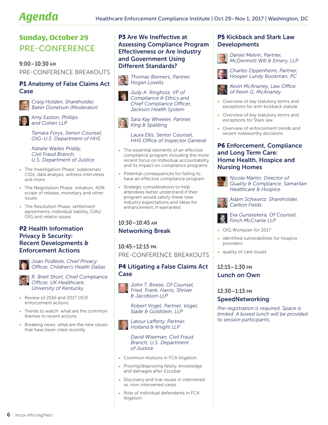### Sunday, October 29 PRE-CONFERENCE

9:00–10:30 am PRE-CONFERENCE BREAKOUTS

#### P1 Anatomy of False Claims Act Case

*Craig Holden, Shareholder, Baker Donelson (Moderator)*

*Amy Easton, Phillips and Cohen LLP*

*Tamara Forys, Senior Counsel, OIG-U.S. Department of HHS*

*Natalie Waites Priddy, Civil Fraud Branch, U.S. Department of Justice*

- The Investigation Phase: subpoenas/ CIDs, data analysis, witness interviews and more
- The Negotiation Phase: initiation, ADR, scope of release, monetary and other issues
- The Resolution Phase: settlement agreements, individual liability, CIAs/ OIG and relator issues

#### P2 Health Information Privacy & Security: Recent Developments & Enforcement Actions



*Joan Podleski, Chief Privacy Officer, Children's Health Dallas*

*R. Brett Short, Chief Compliance Officer, UK Healthcare, University of Kentucky*

- Review of 2016 and 2017 OCR enforcement actions
- Trends to watch: what are the common themes in recent actions
- Breaking news: what are the new issues that have been cited recently

#### P3 Are We Ineffective at Assessing Compliance Program Effectiveness or Are Industry and Government Using Different Standards?

*Thomas Beimers, Partner, Hogan Lovells*

*Judy A. Ringholz, VP of Compliance & Ethics and Chief Compliance Officer, Jackson Health System*

*Sara Kay Wheeler, Partner, King & Spalding*

*Laura Ellis, Senior Counsel, HHS Office of Inspector General*

- The essential elements of an effective compliance program including the more recent focus on Individual accountability and its impact on compliance programs
- Potential consequences for failing to have an effective compliance program
- Strategic considerations to help attendees better understand if their program would satisfy these new industry expectations and ideas for enhancement, if warranted

10:30–10:45 am Networking Break

10:45–12:15 pm PRE-CONFERENCE BREAKOUTS

#### P4 Litigating a False Claims Act Case



*John T. Boese, Of Counsel, Fried, Frank, Harris, Shriver & Jacobson LLP*

*Robert Vogel, Partner, Vogel, Slade & Goldstein, LLP*

*Latour Lafferty, Partner, Holland & Knight LLP*

*David Wiseman, Civil Fraud Branch, U.S. Department of Justice*

- Common motions in FCA litigation
- Proving/disproving falsity, knowledge and damages after Escobar
- Discovery and trial issues in intervened vs. non-intervened cases
- Role of individual defendants in FCA litigation

#### P5 Kickback and Stark Law Developments

*Daniel Melvin, Partner, McDermott Will & Emery, LLP*

*Charles Oppenheim, Partner, Hooper Lundy Bookman, PC*

*Kevin McAnaney, Law Office of Kevin G. McAnaney*

- Overview of key statutory terms and exceptions for anti-kickback statute
- Overview of key statutory terms and exceptions for Stark law
- Overview of enforcement trends and recent noteworthy decisions

#### P6 Enforcement, Compliance and Long Term Care: Home Health, Hospice and Nursing Homes



*Nicole Martin, Director of Quality & Compliance, Samaritan Healthcare & Hospice*

*Adam Schwartz, Shareholder, Carlton Fields*

*Eva Gunasekera, Of Counsel, Finch McCranie LLP*

- OIG Workplan for 2017
- identified vulnerabilities for hospice providers
- quality of care issues

#### 12:15–1:30 pm Lunch on Own

#### 12:30–1:15 pm

#### SpeedNetworking

*Pre-registration is required. Space is limited. A boxed lunch will be provided to session participants.*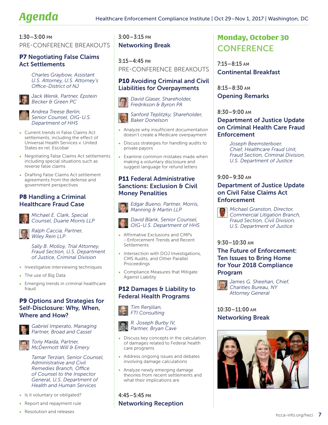#### 1:30–3:00 pm

#### PRE-CONFERENCE BREAKOUTS

#### P7 Negotiating False Claims Act Settlements

*Charles Graybow, Assistant U.S. Attorney, U.S. Attorney's Office-District of NJ*

*Jack Wenik, Partner, Epstein Becker & Green PC*

*Andrea Treese Berlin, Senior Counsel, OIG-U.S. Department of HHS*

- Current trends in False Claims Act settlements, including the effect of Universal Health Services v. United States ex rel. Escobar
- Negotiating False Claims Act settlements including special situations such as reverse false claims
- Drafting False Claims Act settlement agreements from the defense and government perspectives

#### P8 Handling a Criminal Healthcare Fraud Case



*Michael E. Clark, Special Counsel, Duane Morris LLP*

*Ralph Caccia, Partner, Wiley Rein LLP*

*Sally B. Molloy, Trial Attorney, Fraud Section, U.S. Department of Justice, Criminal Division*

- Investigative interviewing techniques
- The use of Big Data
- Emerging trends in criminal healthcare fraud

#### P9 Options and Strategies for Self-Disclosure: Why, When, Where and How?



*Gabriel Imperato, Managing Partner, Broad and Cassel*

*Tony Maida, Partner, McDermott Will & Emery*

*Tamar Terzian, Senior Counsel, Administrative and Civil Remedies Branch, Office of Counsel to the Inspector General, U.S. Department of Health and Human Services*

- Is it voluntary or obligated?
- Report and repayment rule
- Resolution and releases

3:00–3:15 pm Networking Break

3:15–4:45 pm PRE-CONFERENCE BREAKOUTS

#### P10 Avoiding Criminal and Civil Liabilities for Overpayments

*David Glaser, Shareholder, Fredrikson & Byron PA*

*Sanford Teplitzky, Shareholder, Baker Donelson*

- Analyze why insufficient documentation doesn't create a Medicare overpayment
- Discuss strategies for handling audits to private payors
- Examine common mistakes made when making a voluntary disclosure and suggest language for refund letters

#### **P11 Federal Administrative** Sanctions: Exclusion & Civil Money Penalities

*Edgar Bueno, Partner, Morris, Manning & Martin LLP*



*David Blank, Senior Counsel, OIG-U.S. Department of HHS*

- Affirmative Exclusions and CMPs - Enforcement Trends and Recent **Settlements**
- Intersection with DOJ Investigations, CMS Audits, and Other Parallel Proceedings
- Compliance Measures that Mitigate Against Liability

#### P12 Damages & Liability to Federal Health Programs

*Tim Renjilian, FTI Consulting*



*R. Joseph Burby IV, Partner, Bryan Cave*

- Discuss key concepts in the calculation of damages related to Federal health care programs
- Address ongoing issues and debates involving damage calculations
- Analyze newly emerging damage theories from recent settlements and what their implications are

#### 4:45–5:45 pm Networking Reception

Monday, October 30 **CONFERENCE** 

7:15–8:15 am Continental Breakfast

8:15–8:30 am Opening Remarks

8:30–9:00 am

#### Department of Justice Update on Criminal Health Care Fraud **Enforcement**

*Joseph Beemsterboer, Chief, Healthcare Fraud Unit, Fraud Section, Criminal Division, U.S. Department of Justice*

#### 9:00–9:30 am

#### Department of Justice Update on Civil False Claims Act **Enforcement**

*Michael Granston, Director, Commercial Litigation Branch, Fraud Section, Civil Division, U.S. Department of Justice*

#### 9:30–10:30 am

The Future of Enforcement: Ten Issues to Bring Home for Your 2018 Compliance Program



#### 10:30–11:00 am Networking Break

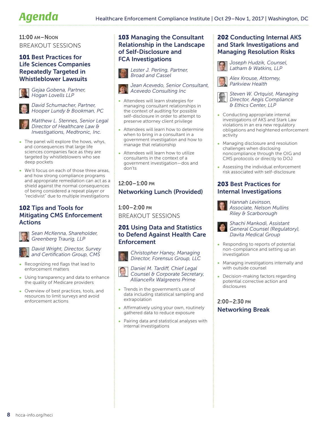11:00 am–Noon BREAKOUT SESSIONS

#### 101 Best Practices for Life Sciences Companies Repeatedly Targeted in Whistleblower Lawsuits



*Gejaa Gobena, Partner, Hogan Lovells LLP*



*David Schumacher, Partner, Hooper Lundy & Bookman, PC*



*Matthew L. Stennes, Senior Legal Director of Healthcare Law & Investigations, Medtronic, Inc.*

- The panel will explore the hows, whys, and consequences that large life sciences companies face as they are targeted by whistleblowers who see deep pockets
- We'll focus on each of those three areas, and how strong compliance programs and appropriate remediation can act as a shield against the normal consequences of being considered a repeat player or "recidivist" due to multiple investigations

#### 102 Tips and Tools for Mitigating CMS Enforcement Actions



*Sean McKenna, Shareholder, Greenberg Traurig, LLP*

*David Wright, Director, Survey and Certification Group, CMS*

- Recognizing red flags that lead to enforcement matters
- Using transparency and data to enhance the quality of Medicare providers
- Overview of best practices, tools, and resources to limit surveys and avoid enforcement actions

#### 103 Managing the Consultant Relationship in the Landscape of Self-Disclosure and FCA Investigations



*Jean Acevedo, Senior Consultant, Acevedo Consulting Inc* 

- Attendees will learn strategies for managing consultant relationships in the context of auditing for possible self-disclosure in order to attempt to preserve attorney client privilege
- Attendees will learn how to determine when to bring in a consultant in a government investigation and how to manage that relationship
- Attendees will learn how to utilize consultants in the context of a government investigation—dos and don'ts

#### 12:00–1:00 pm Networking Lunch (Provided)

1:00–2:00 pm BREAKOUT SESSIONS

#### 201 Using Data and Statistics to Defend Against Health Care Enforcement

*Christopher Haney, Managing* 



*Director, Forensus Group, LLC Daniel M. Tardiff, Chief Legal* 

- *Counsel & Corporate Secretary, AllianceRx Walgreens Prime*
- Trends in the government's use of data including statistical sampling and extrapolation
- Affirmatively using your own, routinely gathered data to reduce exposure
- Pairing data and statistical analyses with internal investigations

#### 202 Conducting Internal AKS and Stark Investigations and Managing Resolution Risks



*Joseph Hudzik, Counsel, Latham & Watkins, LLP*

*Alex Krouse, Attorney, Parkview Health*

*Steven W. Ortquist, Managing Director, Aegis Compliance & Ethics Center, LLP* 

- Conducting appropriate internal investigations of AKS and Stark Law violations in an era new regulatory obligations and heightened enforcement activity
- Managing disclosure and resolution challenges when disclosing noncompliance through the OIG and CMS protocols or directly to DOJ
- Assessing the individual enforcement risk associated with self-disclosure

#### 203 Best Practices for Internal Investigations



*Hannah Levinson, Associate, Nelson Mullins Riley & Scarborough*

*Shachi Mankodi, Assistant General Counsel (Regulatory), Davita Medical Group*

- Responding to reports of potential non-compliance and setting up an investigation
- Managing investigations internally and with outside counsel
- Decision-making factors regarding potential corrective action and disclosures

#### 2:00–2:30 pm Networking Break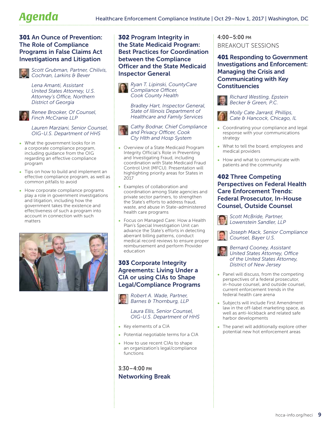#### 301 An Ounce of Prevention: The Role of Compliance Programs in False Claims Act Investigations and Litigation



*Scott Grubman, Partner, Chilivis, Cochran, Larkins & Bever*

*Lena Amanti, Assistant United States Attorney, U.S. Attorney's Office, Northern District of Georgia*



*Renee Brooker, Of Counsel, Finch McCranie LLP* 

#### *Lauren Marziani, Senior Counsel, OIG-U.S. Department of HHS*

- What the government looks for in a corporate compliance program, including guidance from the OIG regarding an effective compliance program
- Tips on how to build and implement an effective compliance program, as well as common pitfalls to avoid
- How corporate compliance programs play a role in government investigations and litigation, including how the government takes the existence and effectiveness of such a program into account in connection with such matters



#### 302 Program Integrity in the State Medicaid Program: Best Practices for Coordination between the Compliance Officer and the State Medicaid Inspector General

*Ryan T. Lipinski, CountyCare Compliance Officer, Cook County Health*

*Bradley Hart, Inspector General, State of Illinois Department of Healthcare and Family Services*

*Cathy Bodnar, Chief Compliance and Privacy Officer, Cook Cty Hlth and Hosp System* 

- Overview of a State Medicaid Program Integrity Official's Role in Preventing and Investigating Fraud, including coordination with State Medicaid Fraud Control Unit (MFCU). Presentation will highlighting priority areas for States in 2017
- Examples of collaboration and coordination among State agencies and private sector partners, to strengthen the State's efforts to address fraud, waste, and abuse in State-administered health care programs
- Focus on Managed Care: How a Health Plan's Special Investigation Unit can advance the State's efforts in detecting aberrant billing patterns, conduct medical record reviews to ensure proper reimbursement and perform Provider education

#### 303 Corporate Integrity Agreements: Living Under a CIA or using CIAs to Shape Legal/Compliance Programs

*Robert A. Wade, Partner, Barnes & Thornburg, LLP*

> *Laura Ellis, Senior Counsel, OIG-U.S. Department of HHS*

- Key elements of a CIA
- Potential negotiable terms for a CIA
- How to use recent CIAs to shape an organization's legal/compliance functions

#### 3:30–4:00 pm Networking Break

#### 4:00–5:00 pm BREAKOUT SESSIONS

401 Responding to Government Investigations and Enforcement: Managing the Crisis and Communicating with Key **Constituencies** 



*Richard Westling, Epstein Becker & Green, P.C.*

*Molly Cate Jarrard, Phillips, Cate & Hancock, Chicago, IL*

- Coordinating your compliance and legal response with your communications strategy
- What to tell the board, employees and medical providers
- How and what to communicate with patients and the community

#### 402 Three Competing Perspectives on Federal Health Care Enforcement Trends: Federal Prosecutor, In-House Counsel, Outside Counsel

*Scott McBride, Partner, Lowenstein Sandler, LLP*

*Joseph Mack, Senior Compliance Counsel, Bayer U.S.*



- Panel will discuss, from the competing perspectives of a federal prosecutor, in-house counsel, and outside counsel, current enforcement trends in the federal health care arena
- Subjects will include First Amendment law in the off-label marketing space, as well as anti-kickback and related safe harbor developments
- The panel will additionally explore other potential new hot enforcement areas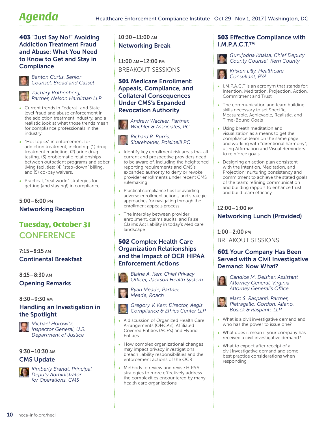#### 403 "Just Say No!" Avoiding Addiction Treatment Fraud and Abuse: What You Need to Know to Get and Stay in **Compliance**



*Benton Curtis, Senior Counsel, Broad and Cassel*

*Zachary Rothenberg, Partner, Nelson Hardiman LLP* 

- Current trends in Federal- and Statelevel fraud and abuse enforcement in the addiction treatment industry, and a realistic look at what those trends mean for compliance professionals in the industry.
- "Hot topics" in enforcement for addiction treatment, including: (1) drug treatment marketing, (2) urine drug testing, (3) problematic relationships between outpatient programs and sober living facilities; (4) "step-down" billing, and (5) co-pay waivers.
- Practical, "real world" strategies for getting (and staying!) in compliance.

#### 5:00–6:00 pm Networking Reception

### Tuesday, October 31 **CONFERENCE**

7:15–8:15 am Continental Breakfast

8:15–8:30 am Opening Remarks

#### 8:30–9:30 am

#### Handling an Investigation in the Spotlight



*Michael Horowitz, Inspector General, U.S. Department of Justice*

9:30–10:30 am

#### CMS Update



*Kimberly Brandt, Principal Deputy Administrator for Operations, CMS*

10:30–11:00 am Networking Break

11:00 am–12:00 pm BREAKOUT SESSIONS

#### 501 Medicare Enrollment: Appeals, Compliance, and Collateral Consequences Under CMS's Expanded Revocation Authority

*Andrew Wachler, Partner, Wachler & Associates, PC*



- Identify key enrollment risk areas that all current and prospective providers need to be aware of, including the heightened reporting requirements and CMS's expanded authority to deny or revoke provider enrollments under recent CMS rulemaking
- Practical compliance tips for avoiding adverse enrollment actions, and strategic approaches for navigating through the enrollment appeals process
- The interplay between provider enrollment, claims audits, and False Claims Act liability in today's Medicare landscape

#### 502 Complex Health Care Organization Relationships and the Impact of OCR HIPAA Enforcement Actions



*Officer, Jackson Health System*



*Ryan Meade, Partner, Meade, Roach*

#### *Gregory V. Kerr, Director, Aegis Compliance & Ethics Center LLP*

- A discussion of Organized Health Care Arrangements (OHCA's), Affiliated Covered Entities (ACE's) and Hybrid Entities
- How complex organizational changes may impact privacy investigations, breach liability responsibilities and the enforcement actions of the OCR
- Methods to review and revise HIPAA strategies to more effectively address the complexities encountered by many health care organizations

#### 503 Effective Compliance with I.M.P.A.C.T.™

*Gurujodha Khalsa, Chief Deputy County Counsel, Kern County*



*Kristen Lilly, Healthcare Consultant, PYA*

- I.M.P.A.C.T is an acronym that stands for: Intention, Meditation, Projection, Action, Commitment and Trust
- The communication and team building skills necessary to set Specific, Measurable, Achievable, Realistic, and Time-Bound Goals
- Using breath meditation and visualization as a means to get the compliance team on the same page and working with "directional harmony"; using Affirmation and Visual Reminders to reinforce goals
- Designing an action plan consistent with the Intention, Meditation, and Projection; nurturing consistency and commitment to achieve the stated goals of the team; refining communication and building rapport to enhance trust and build team efficacy

#### 12:00–1:00 pm Networking Lunch (Provided)

1:00–2:00 pm BREAKOUT SESSIONS

#### 601 Your Company Has Been Served with a Civil Investigative Demand: Now What?



*Candice M. Deisher, Assistant Attorney General, Virginia Attorney General's Office*



*Marc S. Raspanti, Partner, Pietragallo, Gordon, Alfano, Bosick & Raspanti, LLP*

- What is a civil investigative demand and who has the power to issue one?
- What does it mean if your company has received a civil investigative demand?
- What to expect after receipt of a civil investigative demand and some best practice considerations when responding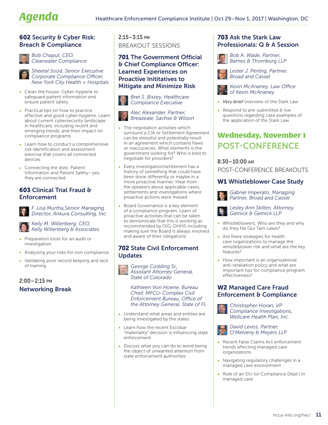#### 602 Security & Cyber Risk: Breach & Compliance



*Bob Chaput, CEO, Clearwater Compliance*



*Sheetal Sood, Senior Executive Corporate Compliance Officer, New York City Health + Hospitals*

- Clean the house: Cyber-hygiene to safeguard patient information and ensure patient safety
- Practical tips on how to practice effective and good cyber-hygiene. Learn about current cybersecurity landscape in healthcare, including recent and emerging trends, and their impact on compliance programs
- Learn how to conduct a comprehensive risk identification and assessment exercise that covers all connected devices
- Connecting the dots: Patient Information and Patient Safety—yes, they are connected

#### 603 Clinical Trial Fraud & Enforcement

*F. Lisa Murtha,Senior Managing Director, Ankura Consulting, Inc.*

*Kelly M. Willenberg, CEO, Kelly Willenberg & Associates*

- Preparation tools for an audit or investigation
- Analyzing your risks for non compliance
- Validating poor record keeping and lack of training

2:00–2:15 pm Networking Break

#### 2:15 – 3:15 pm BREAKOUT SESSIONS

#### 701 The Government Official & Chief Compliance Officer: Learned Experiences on Proactive Inititatives to Mitigate and Minimize Risk

*Bret S. Bissey, Healthcare Compliance Executive*



#### *Alec Alexander, Partner, Breazeale, Sachse & Wilson*

- The negotiation activities which surround a CIA or Settlement Agreement can be stressful and potentially result in an agreement which contains flaws or inaccuracies. What elements is the government looking for? Who is best to negotiate for providers?
- Every investigation/settlement has a history of something that could have been done differently or maybe in a more proactive manner. Hear from the speakers about applicable cases, settlements and investigations where proactive actions were missed
- Board Governance is a key element of a compliance program. Learn of proactive activities that can be taken to demonstrate that this is working as recommended by OIG-DHHS including making sure the Board is always involved and aware of their obligations

#### 702 State Civil Enforcement **Updates**



*George Codding Sr., Assistant Attorney General, State of Colorado*

*Kathleen Von Hoene, Bureau Chief, MFCU-Complex Civil Enforcement Bureau, Office of the Attorney General, State of FL*

- Understand what areas and entities are being investigated by the states
- Learn how the recent Escobar "materiality" decision is influencing state enforcement
- Discuss what you can do to avoid being the object of unwanted attention from state enforcement authorities

#### 703 Ask the Stark Law Professionals: Q & A Session

*Bob A. Wade, Partner, Barnes & Thornburg LLP*

*Lester J. Perling, Partner, Broad and Cassel*

*Kevin McAnaney, Law Office of Kevin McAnaney*

- *Very brief* overview of the Stark Law
- Respond to *pre-submitted & live questions* regarding case examples of the application of the Stark Law

### Wednesday, November 1 POST-CONFERENCE

#### 8:30–10:00 am

POST-CONFERENCE BREAKOUTS

#### W1 Whistleblower Case Study

*Gabriel Imperato, Managing Partner, Broad and Cassel*

*Lesley Ann Skillen, Attorney, Getnick & Getnick LLP*

- Whistleblowers; Who are they and why do they file Qui Tam cases?
- Are there strategies for health care organizations to manage the whistleblower risk and what are the key features?
- How important is an organizational anti-retaliation policy and what are important tips for compliance program effectiveness?

#### W2 Managed Care Fraud Enforcement & Compliance

*Christopher Horan, VP Compliance Investigations, Wellcare Health Plan, Inc.*



*David Leviss, Partner, O'Melveny & Meyers LLP*

- Recent False Claims Act enforcement trends affecting managed care organizations
- Navigating regulatory challenges in a managed care environment
- Role of an SIU (or Compliance Dept.) in managed care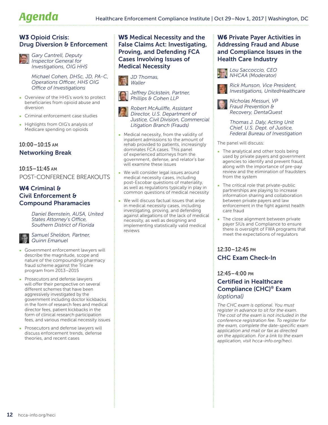#### W3 Opioid Crisis: Drug Diversion & Enforcement



*Gary Cantrell, Deputy Inspector General for Investigations, OIG HHS*

*Michael Cohen, DHSc, JD, PA-C, Operations Officer, HHS OIG Office of Investigations*

- Overview of the HHS's work to protect beneficiaries from opioid abuse and diversion
- Criminal enforcement case studies
- Highlights from OIG's analysis of Medicare spending on opioids

#### 10:00–10:15 am Networking Break

10:15–11:45 am POST-CONFERENCE BREAKOUTS

#### W4 Criminal & Civil Enforcement & Compound Pharamacies

*Daniel Bernstein, AUSA, United States Attorney's Office, Southern District of Florida*

*Samuel Sheldon, Partner, Quinn Emanuel*

- Government enforcement lawyers will describe the magnitude, scope and nature of the compounding pharmacy fraud scheme against the Tricare program from 2013–2015
- Prosecutors and defense lawyers will offer their perspective on several different schemes that have been aggressively investigated by the government including doctor kickbacks in the form of research fees and medical director fees, patient kickbacks in the form of clinical research participation fees, and various medical necessity issues
- Prosecutors and defense lawyers will discuss enforcement trends, defense theories, and recent cases

#### W5 Medical Necessity and the False Claims Act: Investigating, Proving, and Defending FCA Cases Involving Issues of Medical Necessity

*JD Thomas, Waller*

> *Jeffrey Dickstein, Partner, Phillips & Cohen LLP*



*Robert McAuliffe, Assistant Director, U.S. Department of Justice, Civil Division, Commercial Litigation Branch (Frauds)*

- Medical necessity, from the validity of inpatient admissions to the amount of rehab provided to patients, increasingly dominates FCA cases. This panel of experienced attorneys from the government, defense, and relator's bar will examine these issues
- We will consider legal issues around medical necessity cases, including post-Escobar questions of materiality, as well as regulations typically in play in common questions of medical necessity
- We will discuss factual issues that arise in medical necessity cases, including investigating, proving, and defending against allegations of the lack of medical necessity, as well as designing and implementing statistically valid medical reviews

#### W6 Private Payer Activities in Addressing Fraud and Abuse and Compliance Issues in the Health Care Industry



*Rick Munson, Vice President, Investigations, UnitedHealthcare*

*Nicholas Messuri, VP Fraud Prevention & Recovery, DentaQuest*

*Thomas J. Daly, Acting Unit Chief, U.S. Dept. of Justice, Federal Bureau of Investigation*

The panel will discuss:

- The analytical and other tools being used by private payers and government agencies to identify and prevent fraud, along with the importance of pre-pay review and the elimination of fraudsters from the system
- The critical role that private-public partnerships are playing to increase information sharing and collaboration between private payers and law enforcement in the fight against health care fraud
- The close alignment between private payer SIUs and Compliance to ensure there is oversight of FWA programs that meet the expectations of regulators

#### 12:30–12:45 pm CHC Exam Check-In

#### 12:45–4:00 pm Certified in Healthcare Compliance (CHC)® Exam *(optional)*

*The CHC exam is optional. You must register in advance to sit for the exam. The cost of the exam is not included in the conference registration fee. To register for the exam, complete the date-specific exam application and mail or fax as directed on the application. For a link to the exam application, visit [hcca-info.org/heci.](http://www.hcca-info.org/heci)*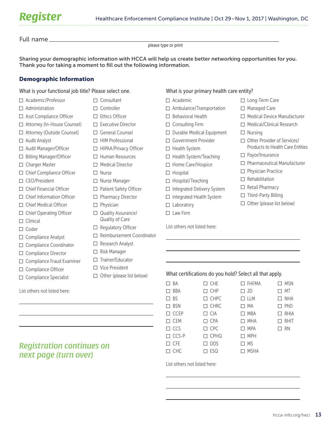Full name

please type or print

Sharing your demographic information with HCCA will help us create better networking opportunities for you. Thank you for taking a moment to fill out the following information.

#### Demographic Information

What is your functional job title? Please select one.

□ Consultant □ Controller  $\Box$  Ethics Officer  $\square$  Executive Director □ General Counsel  $\Box$  HIM Professional □ HIPAA/Privacy Officer □ Human Resources □ Medical Director

Nurse

 $\Box$  Physician

□ Nurse Manager □ Patient Safety Officer □ Pharmacy Director

 $\Box$  Quality Assurance/ Quality of Care  $\Box$  Regulatory Officer

 $\Box$  Research Analyst  $\Box$  Risk Manager  $\Box$  Trainer/Educator □ Vice President

□ Reimbursement Coordinator

 $\Box$  Other (please list below)

- □ Academic/Professor
- $\Box$  Administration
- □ Asst Compliance Officer
- □ Attorney (In-House Counsel)
- Attorney (Outside Counsel)
- □ Audit Analyst
- □ Audit Manager/Officer
- □ Billing Manager/Officer
- □ Charger Master
- □ Chief Compliance Officer
- □ CEO/President
- Chief Financial Officer
- $\Box$  Chief Information Officer
- □ Chief Medical Officer
- □ Chief Operating Officer
- $\Box$  Clinical
- $\Box$  Coder
- $\Box$  Compliance Analyst
- □ Compliance Coordinator
- □ Compliance Director
- □ Compliance Fraud Examiner
- $\Box$  Compliance Officer
- $\square$  Compliance Specialist

List others not listed here:

#### *Registration continues on next page (turn over)*

What is your primary health care entity?

- □ Academic
- □ Ambulance/Transportation
- $\Box$  Behavioral Health
- $\square$  Consulting Firm
- $\Box$  Durable Medical Equipment
- □ Government Provider
- 
- □ Health System/Teaching
- □ Home Care/Hospice
- $\Box$  Hospital
- $\Box$  Hospital/Teaching
- $\Box$  Integrated Delivery System
- $\Box$  Integrated Health System
- $\Box$  Laboratory
- $\Box$  Law Firm

List others not listed here:

- □ Long-Term Care
- □ Managed Care
- $\Box$  Medical Device Manufacturer
- □ Medical/Clinical Research
- $\Box$  Nursing
- □ Other Provider of Services/ Products to Health Care Entities
- $\Box$  Payor/Insurance
- □ Pharmaceutical Manufacturer
- $\Box$  Physician Practice
- $\Box$  Rehabilitation
- $\Box$  Retail Pharmacy
- $\Box$  Third-Party Billing
- $\Box$  Other (please list below)

What certifications do you hold? Select all that apply.

| $\Box$ BA     | $\square$ CHE | $\Box$ FHFMA | $\Box$ MSN    |
|---------------|---------------|--------------|---------------|
| $\Box$ BBA    | $\Box$ CHP    | $\Box$ JD    | $\Box$ MT     |
| $\square$ BS  | $\Box$ CHPC   | $\Box$ LLM   | $\Box$ NHA    |
| $\Box$ BSN    | $\Box$ CHRC   | $\Box$ MA    | $\square$ PhD |
| $\Box$ CCEP   | $\Box$ CIA    | $\Box$ MBA   | $\Box$ RHIA   |
| $\square$ CEM | $\Box$ CPA    | $\Box$ MHA   | $\Box$ RHIT   |
| $\Box$ CCS    | $\Box$ CPC    | $\Box$ MPA   | $\Box$ RN     |
| $\Box$ CCS-P  | $\Box$ CPHQ   | $\Box$ MPH   |               |
| $\square$ CFE | $\square$ DDS | $\Box$ MS    |               |
| $\Box$ CHC    | $\square$ ESQ | $\Box$ MSHA  |               |

List others not listed here:

- $\Box$  Health System
	-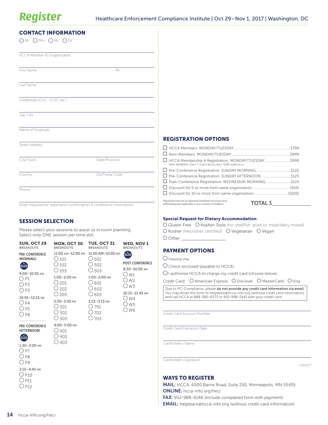| <b>CONTACT INFORMATION</b><br>$OMr$ $OMrs$ $OMs$ $ODr$ |                                                                         |                                                                                                                               |                 |
|--------------------------------------------------------|-------------------------------------------------------------------------|-------------------------------------------------------------------------------------------------------------------------------|-----------------|
| HCCA Member ID (if applicable)                         |                                                                         |                                                                                                                               |                 |
| First Name                                             | M <sub>l</sub>                                                          |                                                                                                                               |                 |
| Last Name                                              |                                                                         |                                                                                                                               |                 |
| Credentials (CHC, CCEP, etc.)                          |                                                                         |                                                                                                                               |                 |
| Job Title                                              |                                                                         |                                                                                                                               |                 |
| Name of Employer                                       |                                                                         |                                                                                                                               |                 |
| <b>Street Address</b>                                  |                                                                         | <b>REGISTRATION OPTIONS</b>                                                                                                   |                 |
|                                                        |                                                                         |                                                                                                                               |                 |
| City/Town                                              | State/Province                                                          | HCCA Membership & Registration: MONDAY/TUESDAY\$999<br>NEW MEMBERS ONLY / DUES REGULARLY \$295 ANNUALLY                       |                 |
|                                                        |                                                                         |                                                                                                                               |                 |
| Country                                                | Zip/Postal Code                                                         | □ Pre-Conference Registration: SUNDAY AFTERNOON \$125                                                                         |                 |
|                                                        |                                                                         | □ Post-Conference Registration: WEDNESDAY MORNING\$125                                                                        |                 |
| Phone                                                  |                                                                         |                                                                                                                               |                 |
|                                                        |                                                                         |                                                                                                                               |                 |
|                                                        | Email (required for registration confirmation & conference information) | Registration fees are as listed and considered net of any local<br>withholding taxes applicable in your country of residence. | <b>TOTAL \$</b> |
| CECCIAN CELECTIAN                                      |                                                                         | <b>Special Request for Dietary Accommodation</b>                                                                              |                 |

#### SESSION SELECTION

Please select your sessions to assist us in room planning. Select only ONE session per time slot.

| <b>SUN, OCT 29</b><br><b>BREAKOUTS</b>                                                                                                                                    | <b>MON, OCT 30</b><br><b>BREAKOUTS</b>                                                                                                                                            | <b>TUE, OCT 31</b><br><b>BREAKOUTS</b>                                                                                                                                                | <b>WED, NOV 1</b><br><b>BREAKOUTS</b>                                                                                      |
|---------------------------------------------------------------------------------------------------------------------------------------------------------------------------|-----------------------------------------------------------------------------------------------------------------------------------------------------------------------------------|---------------------------------------------------------------------------------------------------------------------------------------------------------------------------------------|----------------------------------------------------------------------------------------------------------------------------|
| <b>PRE-CONFERENCE</b><br>(MORNING)<br>5125<br>$9:00 - 10:30$ AM<br>) P1<br>P <sub>2</sub><br>) P3<br>10:45-12:15 PM<br>( ) p4<br>.) <sub>P5</sub><br>. ) P6               | 11:00 AM-12:00 PM<br>$\bigcirc$ 101<br>$\bigcirc$ 102<br>$\bigcirc$ 103<br>$1:00-2:00$ PM<br>$\bigcirc$ 201<br>202<br>◯ 203<br>$2:30 - 3:30$ PM<br>$\bigcirc$ 301<br>302<br>◯ 303 | 11:00 AM-12:00 PM<br>$\bigcirc$ 501<br>$\bigcirc$ 502<br>$\bigcirc$ 503<br>$1:00-2:00$ PM<br>○ 601<br>$\bigcup$ 602<br>○ 603<br>$2:15 - 3:15$ PM<br>$\bigcirc$ 701<br>.) 702<br>◯ 703 | \$125<br><b>POST-CONFERENCE</b><br>$8:30-10:00$ AM<br>( ) w1<br>○ w2<br>( ) w 3<br>10:15-11:45 AM<br>() w4<br>∪ w5<br>O w6 |
| <b>PRE-CONFERENCE</b><br>(AFTERNOON)<br>\$125<br>$1:30 - 3:00$ PM<br>() p7<br>. ) P8<br>P <sub>9</sub><br>$3:15 - 4:45$ PM<br>$\bigcirc$ P10<br>.) P11<br>P <sub>12</sub> | 4:00-5:00 PM<br>$\bigcirc$ 401<br>402<br>403                                                                                                                                      |                                                                                                                                                                                       |                                                                                                                            |

| O Gluten Free O Kosher-Style (no shellfish, pork or meat/dairy mixed) |  |
|-----------------------------------------------------------------------|--|
| O Kosher (Hechsher certified) O Vegetarian O Vegan                    |  |
| O Other                                                               |  |

#### PAYMENT OPTIONS

Invoice me

 $O$  Check enclosed (payable to HCCA)

 $\bigcirc$  I authorize HCCA to charge my credit card (choose below)

Credit Card: O American Express O Discover O MasterCard O Visa

Due to PCI Compliance, please do not provide any credit card information via email. You may email this form to [helpteam@hcca-info.org](mailto:helpteam%40hcca-info.org?subject=) (without credit card information) and call HCCA at 888-580-8373 or 952-988-0141 with your credit card.

Credit Card Account Number

Credit Card Expiration Date

Cardholder's Name

Cardholder's Signature

*HRI1017*

#### WAYS TO REGISTER

MAIL: HCCA, 6500 Barrie Road, Suite 250, Minneapolis, MN 55435 ONLINE: [hcca-info.org/heci](http://www.hcca-info.org/heci)

FAX: 952-988-0146 (include completed form with payment)

EMAIL: [helpteam@hcca-info.org](mailto:helpteam%40hcca-info.org?subject=) (without credit card information)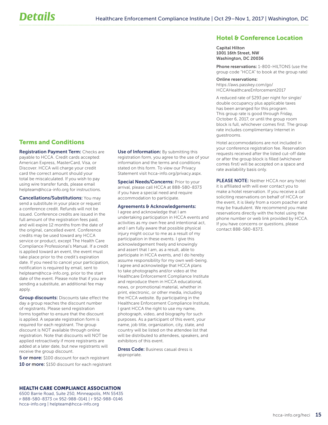#### Hotel & Conference Location

Capital Hilton 1001 16th Street, NW Washington, DC 20036

Phone reservations: 1-800-HILTONS (use the group code "HCCA" to book at the group rate)

#### Online reservations:

[https://aws.passkey.com/go/](https://aws.passkey.com/go/HCCAHealthcareEnforcement2017) [HCCAHealthcareEnforcement2017](https://aws.passkey.com/go/HCCAHealthcareEnforcement2017)

A reduced rate of \$293 per night for single/ double occupancy plus applicable taxes has been arranged for this program. This group rate is good through Friday, October 6, 2017, or until the group room block is full, whichever comes first. The group rate includes complimentary Internet in guestrooms.

Hotel accommodations are not included in your conference registration fee. Reservation requests received after the listed cut-off date or after the group block is filled (whichever comes first) will be accepted on a space and rate availability basis only.

PLEASE NOTE: Neither HCCA nor any hotel it is affiliated with will ever contact you to make a hotel reservation. If you receive a call soliciting reservations on behalf of HCCA or the event, it is likely from a room poacher and may be fraudulent. We recommend you make reservations directly with the hotel using the phone number or web link provided by HCCA. If you have concerns or questions, please contact 888-580-8373.

#### Terms and Conditions

**Registration Payment Term: Checks are** payable to HCCA. Credit cards accepted: American Express, MasterCard, Visa, or Discover. HCCA will charge your credit card the correct amount should your total be miscalculated. If you wish to pay using wire transfer funds, please email [helpteam@hcca-info.org](mailto:helpteam%40hcca-info.org?subject=) for instructions.

Cancellations/Substitutions: You may send a substitute in your place or request a conference credit. Refunds will not be issued. Conference credits are issued in the full amount of the registration fees paid, and will expire 12 months from the date of the original, cancelled event. Conference credits may be used toward any HCCA service or product, except The Health Care Compliance Professional's Manual. If a credit is applied toward an event, the event must take place prior to the credit's expiration date. If you need to cancel your participation, notification is required by email, sent to [helpteam@hcca-info.org](mailto:helpteam%40hcca-info.org?subject=), prior to the start date of the event. Please note that if you are sending a substitute, an additional fee may apply.

**Group discounts: Discounts take effect the** day a group reaches the discount number of registrants. Please send registration forms together to ensure that the discount is applied. A separate registration form is required for each registrant. The group discount is NOT available through online registration. Note that discounts will NOT be applied retroactively if more registrants are added at a later date, but new registrants will receive the group discount.

**5 or more:** \$100 discount for each registrant 10 or more: \$150 discount for each registrant

Use of Information: By submitting this registration form, you agree to the use of your information and the terms and conditions stated on this form. To view our Privacy Statement visit hcca-info.org/privacy.aspx.

Special Needs/Concerns: Prior to your arrival, please call HCCA at 888-580-8373 if you have a special need and require accommodation to participate.

#### Agreements & Acknowledgements:

I agree and acknowledge that I am undertaking participation in HCCA events and activities as my own free and intentional act, and I am fully aware that possible physical injury might occur to me as a result of my participation in these events. I give this acknowledgement freely and knowingly and assert that I am, as a result, able to participate in HCCA events, and I do hereby assume responsibility for my own well-being. I agree and acknowledge that HCCA plans to take photographs and/or video at the Healthcare Enforcement Compliance Institute and reproduce them in HCCA educational, news, or promotional material, whether in print, electronic, or other media, including the HCCA website. By participating in the Healthcare Enforcement Compliance Institute, I grant HCCA the right to use my name, photograph, video, and biography for such purposes. As a participant of this event, your name, job title, organization, city, state, and country will be listed on the attendee list that will be distributed to attendees, speakers, and exhibitors of this event.

**Dress Code:** Business casual dress is appropriate.

#### HEALTH CARE COMPLIANCE ASSOCIATION

6500 Barrie Road, Suite 250, Minneapolis, MN 55435 p 888-580-8373 or 952-988-0141 | f 952-988-0146 hcca-info.org | helpteam@hcca-info.org